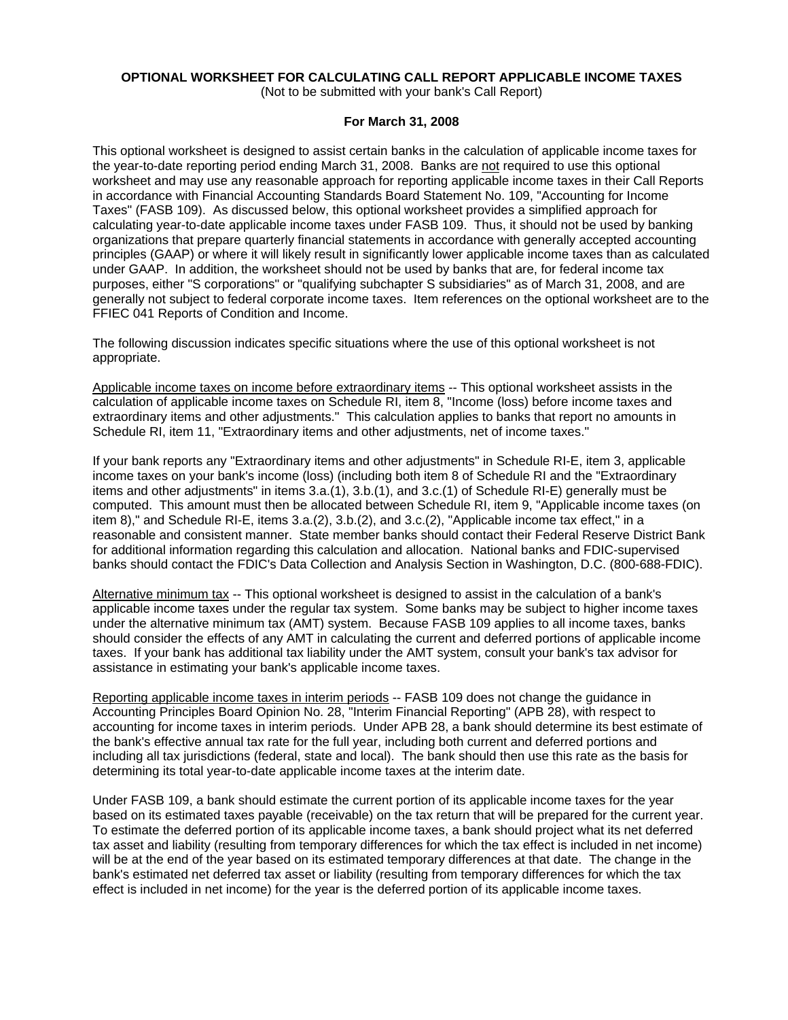# **OPTIONAL WORKSHEET FOR CALCULATING CALL REPORT APPLICABLE INCOME TAXES**

(Not to be submitted with your bank's Call Report)

### **For March 31, 2008**

This optional worksheet is designed to assist certain banks in the calculation of applicable income taxes for the year-to-date reporting period ending March 31, 2008. Banks are not required to use this optional worksheet and may use any reasonable approach for reporting applicable income taxes in their Call Reports in accordance with Financial Accounting Standards Board Statement No. 109, "Accounting for Income Taxes" (FASB 109). As discussed below, this optional worksheet provides a simplified approach for calculating year-to-date applicable income taxes under FASB 109. Thus, it should not be used by banking organizations that prepare quarterly financial statements in accordance with generally accepted accounting principles (GAAP) or where it will likely result in significantly lower applicable income taxes than as calculated under GAAP. In addition, the worksheet should not be used by banks that are, for federal income tax purposes, either "S corporations" or "qualifying subchapter S subsidiaries" as of March 31, 2008, and are generally not subject to federal corporate income taxes. Item references on the optional worksheet are to the FFIEC 041 Reports of Condition and Income.

The following discussion indicates specific situations where the use of this optional worksheet is not appropriate.

Applicable income taxes on income before extraordinary items -- This optional worksheet assists in the calculation of applicable income taxes on Schedule RI, item 8, "Income (loss) before income taxes and extraordinary items and other adjustments." This calculation applies to banks that report no amounts in Schedule RI, item 11, "Extraordinary items and other adjustments, net of income taxes."

If your bank reports any "Extraordinary items and other adjustments" in Schedule RI-E, item 3, applicable income taxes on your bank's income (loss) (including both item 8 of Schedule RI and the "Extraordinary items and other adjustments" in items 3.a.(1), 3.b.(1), and 3.c.(1) of Schedule RI-E) generally must be computed. This amount must then be allocated between Schedule RI, item 9, "Applicable income taxes (on item 8)," and Schedule RI-E, items 3.a.(2), 3.b.(2), and 3.c.(2), "Applicable income tax effect," in a reasonable and consistent manner. State member banks should contact their Federal Reserve District Bank for additional information regarding this calculation and allocation. National banks and FDIC-supervised banks should contact the FDIC's Data Collection and Analysis Section in Washington, D.C. (800-688-FDIC).

Alternative minimum tax -- This optional worksheet is designed to assist in the calculation of a bank's applicable income taxes under the regular tax system. Some banks may be subject to higher income taxes under the alternative minimum tax (AMT) system. Because FASB 109 applies to all income taxes, banks should consider the effects of any AMT in calculating the current and deferred portions of applicable income taxes. If your bank has additional tax liability under the AMT system, consult your bank's tax advisor for assistance in estimating your bank's applicable income taxes.

Reporting applicable income taxes in interim periods -- FASB 109 does not change the guidance in Accounting Principles Board Opinion No. 28, "Interim Financial Reporting" (APB 28), with respect to accounting for income taxes in interim periods. Under APB 28, a bank should determine its best estimate of the bank's effective annual tax rate for the full year, including both current and deferred portions and including all tax jurisdictions (federal, state and local). The bank should then use this rate as the basis for determining its total year-to-date applicable income taxes at the interim date.

Under FASB 109, a bank should estimate the current portion of its applicable income taxes for the year based on its estimated taxes payable (receivable) on the tax return that will be prepared for the current year. To estimate the deferred portion of its applicable income taxes, a bank should project what its net deferred tax asset and liability (resulting from temporary differences for which the tax effect is included in net income) will be at the end of the year based on its estimated temporary differences at that date. The change in the bank's estimated net deferred tax asset or liability (resulting from temporary differences for which the tax effect is included in net income) for the year is the deferred portion of its applicable income taxes.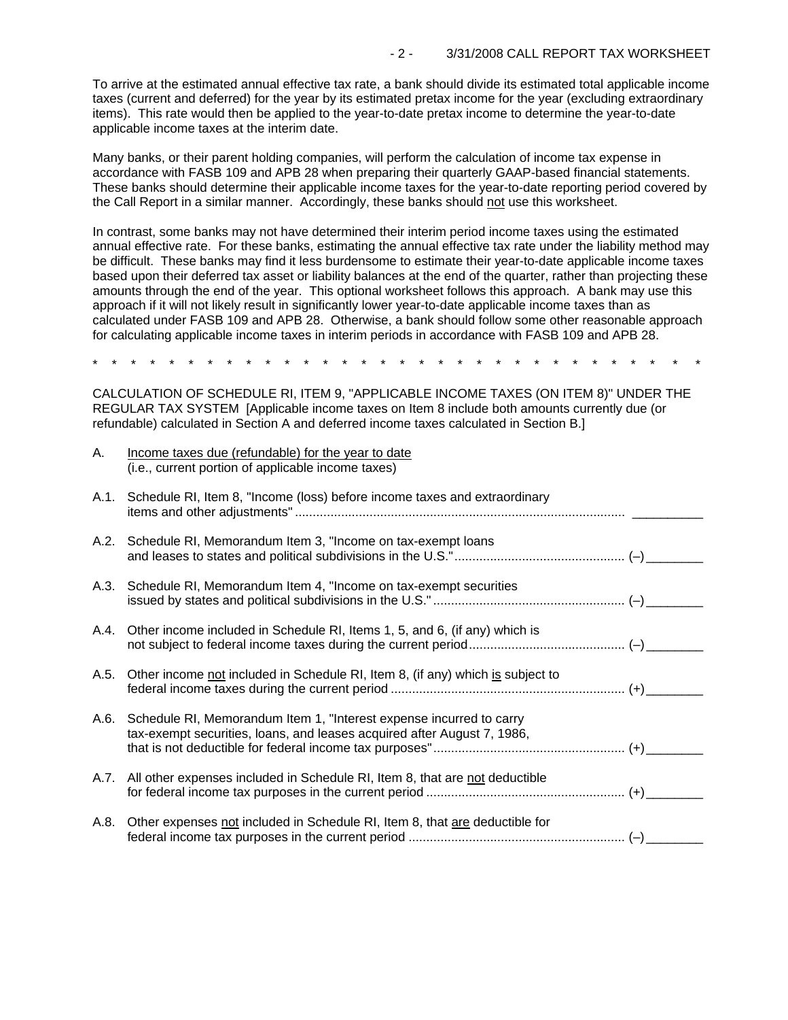To arrive at the estimated annual effective tax rate, a bank should divide its estimated total applicable income taxes (current and deferred) for the year by its estimated pretax income for the year (excluding extraordinary items). This rate would then be applied to the year-to-date pretax income to determine the year-to-date applicable income taxes at the interim date.

Many banks, or their parent holding companies, will perform the calculation of income tax expense in accordance with FASB 109 and APB 28 when preparing their quarterly GAAP-based financial statements. These banks should determine their applicable income taxes for the year-to-date reporting period covered by the Call Report in a similar manner. Accordingly, these banks should not use this worksheet.

In contrast, some banks may not have determined their interim period income taxes using the estimated annual effective rate. For these banks, estimating the annual effective tax rate under the liability method may be difficult. These banks may find it less burdensome to estimate their year-to-date applicable income taxes based upon their deferred tax asset or liability balances at the end of the quarter, rather than projecting these amounts through the end of the year. This optional worksheet follows this approach. A bank may use this approach if it will not likely result in significantly lower year-to-date applicable income taxes than as calculated under FASB 109 and APB 28. Otherwise, a bank should follow some other reasonable approach for calculating applicable income taxes in interim periods in accordance with FASB 109 and APB 28.

\* \* \* \* \* \* \* \* \* \* \* \* \* \* \* \* \* \* \* \* \* \* \* \* \* \* \* \* \* \* \* \*

CALCULATION OF SCHEDULE RI, ITEM 9, "APPLICABLE INCOME TAXES (ON ITEM 8)" UNDER THE REGULAR TAX SYSTEM [Applicable income taxes on Item 8 include both amounts currently due (or refundable) calculated in Section A and deferred income taxes calculated in Section B.]

| Α.   | Income taxes due (refundable) for the year to date<br>(i.e., current portion of applicable income taxes)                                            |  |
|------|-----------------------------------------------------------------------------------------------------------------------------------------------------|--|
| A.1. | Schedule RI, Item 8, "Income (loss) before income taxes and extraordinary                                                                           |  |
|      | A.2. Schedule RI, Memorandum Item 3, "Income on tax-exempt loans                                                                                    |  |
|      | A.3. Schedule RI, Memorandum Item 4, "Income on tax-exempt securities                                                                               |  |
|      | A.4. Other income included in Schedule RI, Items 1, 5, and 6, (if any) which is                                                                     |  |
| A.5. | Other income not included in Schedule RI, Item 8, (if any) which is subject to                                                                      |  |
|      | A.6. Schedule RI, Memorandum Item 1, "Interest expense incurred to carry<br>tax-exempt securities, loans, and leases acquired after August 7, 1986, |  |
|      | A.7. All other expenses included in Schedule RI, Item 8, that are not deductible                                                                    |  |
| A.8. | Other expenses not included in Schedule RI, Item 8, that are deductible for                                                                         |  |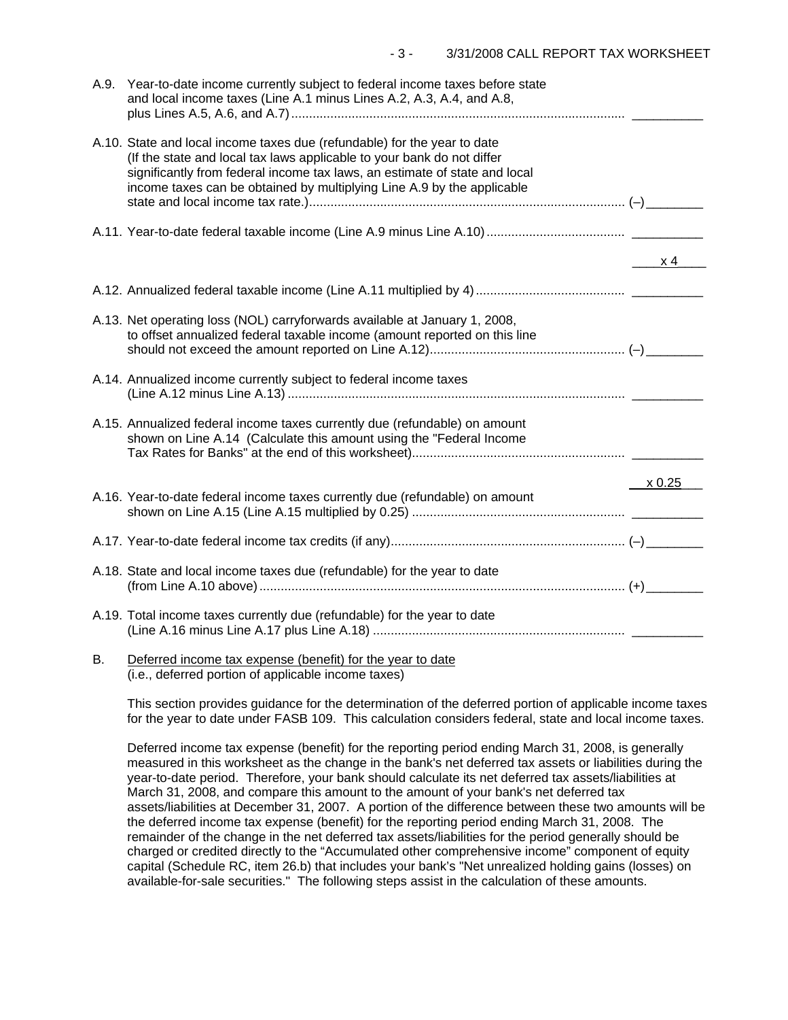|    | A.9. Year-to-date income currently subject to federal income taxes before state<br>and local income taxes (Line A.1 minus Lines A.2, A.3, A.4, and A.8,                                                                                                                                                    |                 |
|----|------------------------------------------------------------------------------------------------------------------------------------------------------------------------------------------------------------------------------------------------------------------------------------------------------------|-----------------|
|    | A.10. State and local income taxes due (refundable) for the year to date<br>(If the state and local tax laws applicable to your bank do not differ<br>significantly from federal income tax laws, an estimate of state and local<br>income taxes can be obtained by multiplying Line A.9 by the applicable |                 |
|    |                                                                                                                                                                                                                                                                                                            |                 |
|    |                                                                                                                                                                                                                                                                                                            | $\sim$ x 4      |
|    |                                                                                                                                                                                                                                                                                                            |                 |
|    | A.13. Net operating loss (NOL) carryforwards available at January 1, 2008,<br>to offset annualized federal taxable income (amount reported on this line                                                                                                                                                    |                 |
|    | A.14. Annualized income currently subject to federal income taxes                                                                                                                                                                                                                                          |                 |
|    | A.15. Annualized federal income taxes currently due (refundable) on amount<br>shown on Line A.14 (Calculate this amount using the "Federal Income                                                                                                                                                          |                 |
|    |                                                                                                                                                                                                                                                                                                            | $\times$ 0.25__ |
|    | A.16. Year-to-date federal income taxes currently due (refundable) on amount                                                                                                                                                                                                                               |                 |
|    |                                                                                                                                                                                                                                                                                                            |                 |
|    | A.18. State and local income taxes due (refundable) for the year to date                                                                                                                                                                                                                                   |                 |
|    | A.19. Total income taxes currently due (refundable) for the year to date                                                                                                                                                                                                                                   |                 |
| В. | Deferred income tax expense (benefit) for the year to date                                                                                                                                                                                                                                                 |                 |

(i.e., deferred portion of applicable income taxes)

This section provides guidance for the determination of the deferred portion of applicable income taxes for the year to date under FASB 109. This calculation considers federal, state and local income taxes.

Deferred income tax expense (benefit) for the reporting period ending March 31, 2008, is generally measured in this worksheet as the change in the bank's net deferred tax assets or liabilities during the year-to-date period. Therefore, your bank should calculate its net deferred tax assets/liabilities at March 31, 2008, and compare this amount to the amount of your bank's net deferred tax assets/liabilities at December 31, 2007. A portion of the difference between these two amounts will be the deferred income tax expense (benefit) for the reporting period ending March 31, 2008. The remainder of the change in the net deferred tax assets/liabilities for the period generally should be charged or credited directly to the "Accumulated other comprehensive income" component of equity capital (Schedule RC, item 26.b) that includes your bank's "Net unrealized holding gains (losses) on available-for-sale securities." The following steps assist in the calculation of these amounts.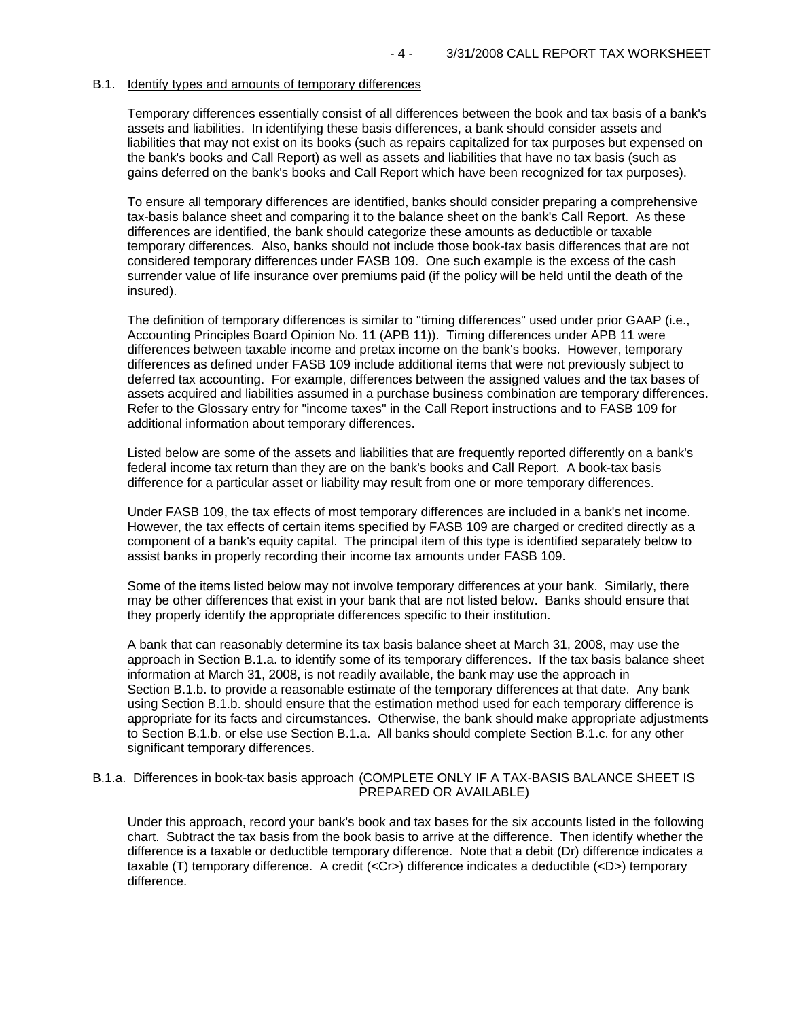### B.1. Identify types and amounts of temporary differences

Temporary differences essentially consist of all differences between the book and tax basis of a bank's assets and liabilities. In identifying these basis differences, a bank should consider assets and liabilities that may not exist on its books (such as repairs capitalized for tax purposes but expensed on the bank's books and Call Report) as well as assets and liabilities that have no tax basis (such as gains deferred on the bank's books and Call Report which have been recognized for tax purposes).

To ensure all temporary differences are identified, banks should consider preparing a comprehensive tax-basis balance sheet and comparing it to the balance sheet on the bank's Call Report. As these differences are identified, the bank should categorize these amounts as deductible or taxable temporary differences. Also, banks should not include those book-tax basis differences that are not considered temporary differences under FASB 109. One such example is the excess of the cash surrender value of life insurance over premiums paid (if the policy will be held until the death of the insured).

The definition of temporary differences is similar to "timing differences" used under prior GAAP (i.e., Accounting Principles Board Opinion No. 11 (APB 11)). Timing differences under APB 11 were differences between taxable income and pretax income on the bank's books. However, temporary differences as defined under FASB 109 include additional items that were not previously subject to deferred tax accounting. For example, differences between the assigned values and the tax bases of assets acquired and liabilities assumed in a purchase business combination are temporary differences. Refer to the Glossary entry for "income taxes" in the Call Report instructions and to FASB 109 for additional information about temporary differences.

Listed below are some of the assets and liabilities that are frequently reported differently on a bank's federal income tax return than they are on the bank's books and Call Report. A book-tax basis difference for a particular asset or liability may result from one or more temporary differences.

Under FASB 109, the tax effects of most temporary differences are included in a bank's net income. However, the tax effects of certain items specified by FASB 109 are charged or credited directly as a component of a bank's equity capital. The principal item of this type is identified separately below to assist banks in properly recording their income tax amounts under FASB 109.

Some of the items listed below may not involve temporary differences at your bank. Similarly, there may be other differences that exist in your bank that are not listed below. Banks should ensure that they properly identify the appropriate differences specific to their institution.

A bank that can reasonably determine its tax basis balance sheet at March 31, 2008, may use the approach in Section B.1.a. to identify some of its temporary differences. If the tax basis balance sheet information at March 31, 2008, is not readily available, the bank may use the approach in Section B.1.b. to provide a reasonable estimate of the temporary differences at that date. Any bank using Section B.1.b. should ensure that the estimation method used for each temporary difference is appropriate for its facts and circumstances. Otherwise, the bank should make appropriate adjustments to Section B.1.b. or else use Section B.1.a. All banks should complete Section B.1.c. for any other significant temporary differences.

### B.1.a. Differences in book-tax basis approach (COMPLETE ONLY IF A TAX-BASIS BALANCE SHEET IS PREPARED OR AVAILABLE)

Under this approach, record your bank's book and tax bases for the six accounts listed in the following chart. Subtract the tax basis from the book basis to arrive at the difference. Then identify whether the difference is a taxable or deductible temporary difference. Note that a debit (Dr) difference indicates a taxable (T) temporary difference. A credit (<Cr>) difference indicates a deductible (<D>) temporary difference.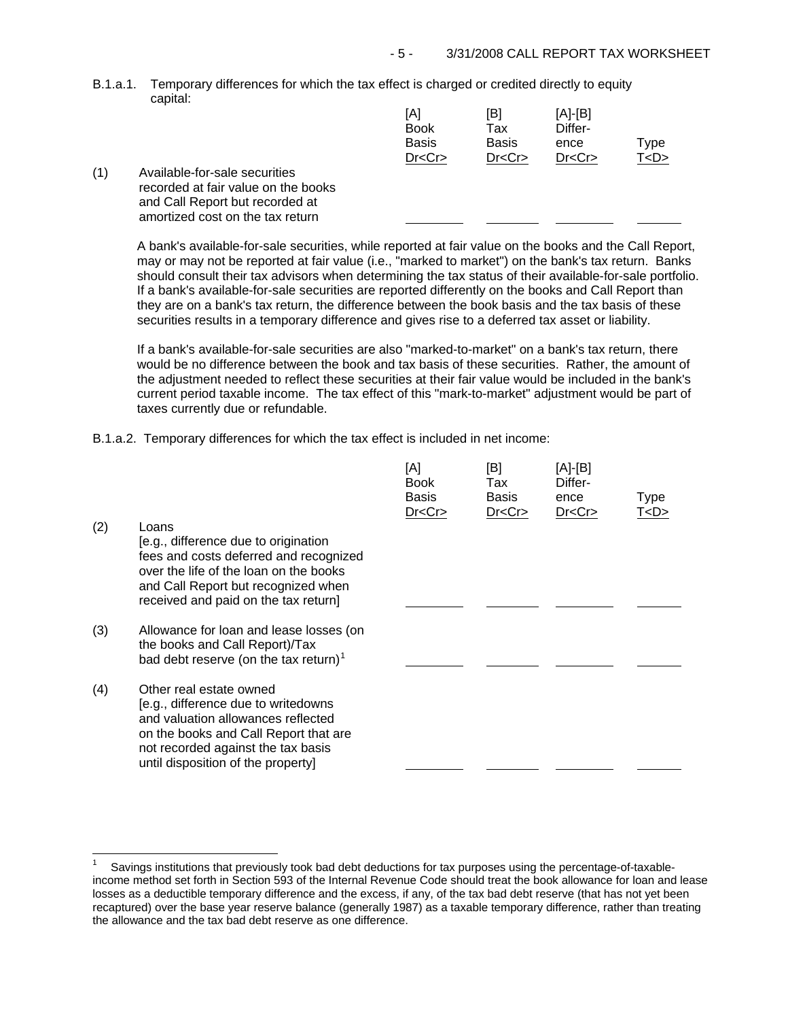B.1.a.1. Temporary differences for which the tax effect is charged or credited directly to equity capital:

|         | [A]<br><b>Book</b><br><b>Basis</b><br>Dr < Cr | [B]<br>Tax<br><b>Basis</b><br>Dr < Cr | $[A]-[B]$<br>Differ-<br>ence<br>Dr < Cr | Type<br>T <d></d> |
|---------|-----------------------------------------------|---------------------------------------|-----------------------------------------|-------------------|
| e books |                                               |                                       |                                         |                   |

(1) Available-for-sale securities recorded at fair value on the and Call Report but recorded at amortized cost on the tax return

j.

A bank's available-for-sale securities, while reported at fair value on the books and the Call Report, may or may not be reported at fair value (i.e., "marked to market") on the bank's tax return. Banks should consult their tax advisors when determining the tax status of their available-for-sale portfolio. If a bank's available-for-sale securities are reported differently on the books and Call Report than they are on a bank's tax return, the difference between the book basis and the tax basis of these securities results in a temporary difference and gives rise to a deferred tax asset or liability.

If a bank's available-for-sale securities are also "marked-to-market" on a bank's tax return, there would be no difference between the book and tax basis of these securities. Rather, the amount of the adjustment needed to reflect these securities at their fair value would be included in the bank's current period taxable income. The tax effect of this "mark-to-market" adjustment would be part of taxes currently due or refundable.

B.1.a.2. Temporary differences for which the tax effect is included in net income:

| (2) | Loans<br>[e.g., difference due to origination<br>fees and costs deferred and recognized<br>over the life of the loan on the books<br>and Call Report but recognized when<br>received and paid on the tax return]          | [A]<br><b>Book</b><br><b>Basis</b><br>Dr < Cr | [B]<br>Tax<br>Basis<br>Dr < Cr | [A]-[B]<br>Differ-<br>ence<br>Dr < Cr | <b>Type</b><br>T <d></d> |
|-----|---------------------------------------------------------------------------------------------------------------------------------------------------------------------------------------------------------------------------|-----------------------------------------------|--------------------------------|---------------------------------------|--------------------------|
| (3) | Allowance for loan and lease losses (on<br>the books and Call Report)/Tax<br>bad debt reserve (on the tax return) <sup>1</sup>                                                                                            |                                               |                                |                                       |                          |
| (4) | Other real estate owned<br>[e.g., difference due to writedowns<br>and valuation allowances reflected<br>on the books and Call Report that are<br>not recorded against the tax basis<br>until disposition of the property] |                                               |                                |                                       |                          |

<span id="page-4-0"></span><sup>1</sup> Savings institutions that previously took bad debt deductions for tax purposes using the percentage-of-taxableincome method set forth in Section 593 of the Internal Revenue Code should treat the book allowance for loan and lease losses as a deductible temporary difference and the excess, if any, of the tax bad debt reserve (that has not yet been recaptured) over the base year reserve balance (generally 1987) as a taxable temporary difference, rather than treating the allowance and the tax bad debt reserve as one difference.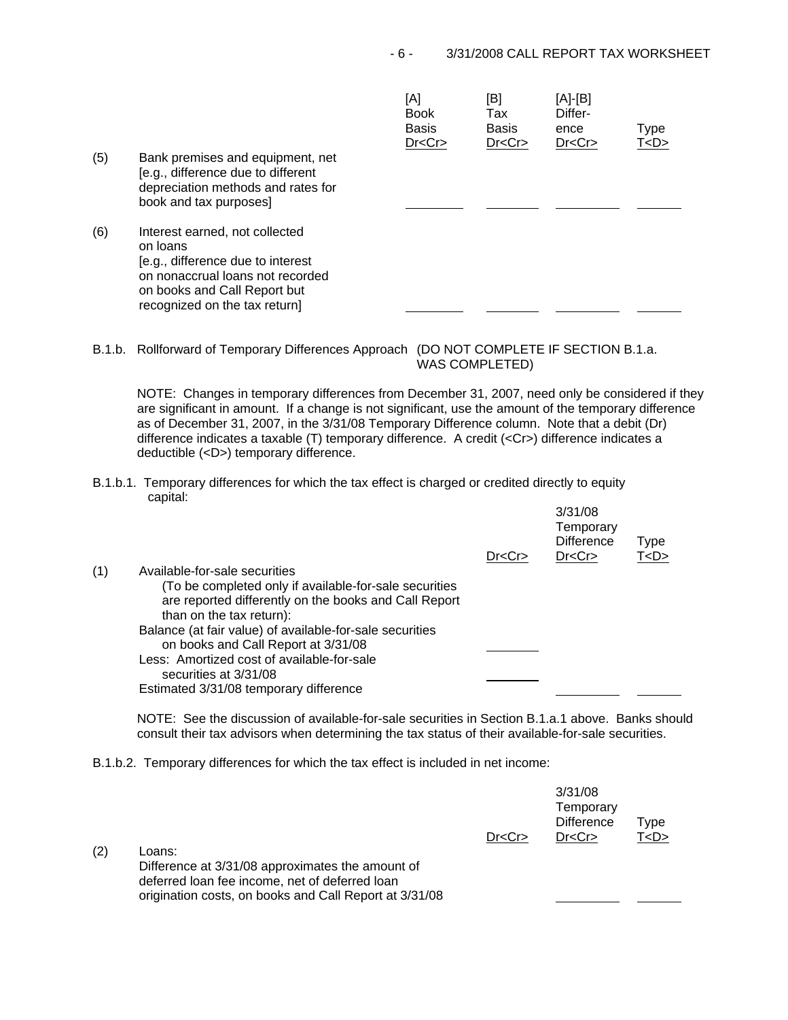| (5) | Bank premises and equipment, net<br>[e.g., difference due to different                                                                                                               | [A]<br><b>Book</b><br><b>Basis</b><br>Dr < Cr | [B]<br>Tax<br><b>Basis</b><br>Dr < Cr | [A]-[B]<br>Differ-<br>ence<br>Dr < Cr | Type<br>T < D > |
|-----|--------------------------------------------------------------------------------------------------------------------------------------------------------------------------------------|-----------------------------------------------|---------------------------------------|---------------------------------------|-----------------|
|     | depreciation methods and rates for<br>book and tax purposes]                                                                                                                         |                                               |                                       |                                       |                 |
| (6) | Interest earned, not collected<br>on loans<br>[e.g., difference due to interest<br>on nonaccrual loans not recorded<br>on books and Call Report but<br>recognized on the tax return] |                                               |                                       |                                       |                 |

B.1.b. Rollforward of Temporary Differences Approach (DO NOT COMPLETE IF SECTION B.1.a.

WAS COMPLETED)

 $3/21/22$ 

NOTE: Changes in temporary differences from December 31, 2007, need only be considered if they are significant in amount. If a change is not significant, use the amount of the temporary difference as of December 31, 2007, in the 3/31/08 Temporary Difference column. Note that a debit (Dr) difference indicates a taxable (T) temporary difference. A credit (<Cr>) difference indicates a deductible (<D>) temporary difference.

B.1.b.1. Temporary differences for which the tax effect is charged or credited directly to equity capital:

|     |                                                          | Dr < Cr | 3/31/08<br>Temporary<br><b>Difference</b><br>Dr < Cr | Type<br>T < D > |
|-----|----------------------------------------------------------|---------|------------------------------------------------------|-----------------|
| (1) | Available-for-sale securities                            |         |                                                      |                 |
|     | (To be completed only if available-for-sale securities   |         |                                                      |                 |
|     | are reported differently on the books and Call Report    |         |                                                      |                 |
|     | than on the tax return):                                 |         |                                                      |                 |
|     | Balance (at fair value) of available-for-sale securities |         |                                                      |                 |
|     | on books and Call Report at 3/31/08                      |         |                                                      |                 |
|     | Less: Amortized cost of available-for-sale               |         |                                                      |                 |
|     | securities at 3/31/08                                    |         |                                                      |                 |
|     | Estimated 3/31/08 temporary difference                   |         |                                                      |                 |

NOTE: See the discussion of available-for-sale securities in Section B.1.a.1 above. Banks should consult their tax advisors when determining the tax status of their available-for-sale securities.

B.1.b.2. Temporary differences for which the tax effect is included in net income:

|     |                                                                                                                                                              | Dr < Cr | 3/31/08<br>Temporary<br><b>Difference</b><br>Dr < Cr | Type<br>T < D > |
|-----|--------------------------------------------------------------------------------------------------------------------------------------------------------------|---------|------------------------------------------------------|-----------------|
| (2) | Loans:                                                                                                                                                       |         |                                                      |                 |
|     | Difference at 3/31/08 approximates the amount of<br>deferred loan fee income, net of deferred loan<br>origination costs, on books and Call Report at 3/31/08 |         |                                                      |                 |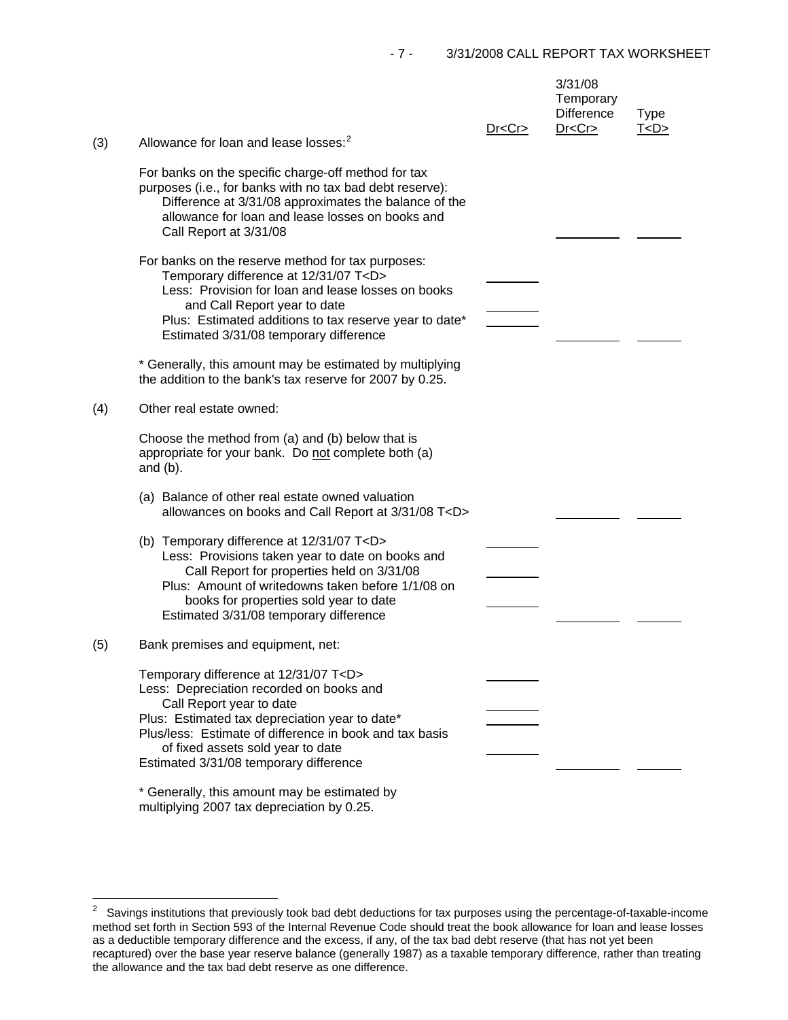| (3) | Allowance for loan and lease losses: <sup>2</sup>                                                                                                                                                                                                                                                                                                          | Dr < Cr | 3/31/08<br>Temporary<br><b>Difference</b><br>Dr < Cr | <b>Type</b><br>T < D > |
|-----|------------------------------------------------------------------------------------------------------------------------------------------------------------------------------------------------------------------------------------------------------------------------------------------------------------------------------------------------------------|---------|------------------------------------------------------|------------------------|
|     | For banks on the specific charge-off method for tax<br>purposes (i.e., for banks with no tax bad debt reserve):<br>Difference at 3/31/08 approximates the balance of the<br>allowance for loan and lease losses on books and<br>Call Report at 3/31/08                                                                                                     |         |                                                      |                        |
|     | For banks on the reserve method for tax purposes:<br>Temporary difference at 12/31/07 T <d><br/>Less: Provision for loan and lease losses on books<br/>and Call Report year to date<br/>Plus: Estimated additions to tax reserve year to date*<br/>Estimated 3/31/08 temporary difference<br/>* Generally, this amount may be estimated by multiplying</d> |         |                                                      |                        |
| (4) | the addition to the bank's tax reserve for 2007 by 0.25.<br>Other real estate owned:                                                                                                                                                                                                                                                                       |         |                                                      |                        |
|     | Choose the method from (a) and (b) below that is<br>appropriate for your bank. Do not complete both (a)<br>and $(b)$ .                                                                                                                                                                                                                                     |         |                                                      |                        |
|     | (a) Balance of other real estate owned valuation<br>allowances on books and Call Report at 3/31/08 T <d></d>                                                                                                                                                                                                                                               |         |                                                      |                        |
|     | (b) Temporary difference at 12/31/07 T <d><br/>Less: Provisions taken year to date on books and<br/>Call Report for properties held on 3/31/08<br/>Plus: Amount of writedowns taken before 1/1/08 on<br/>books for properties sold year to date<br/>Estimated 3/31/08 temporary difference</d>                                                             |         |                                                      |                        |
| (5) | Bank premises and equipment, net:                                                                                                                                                                                                                                                                                                                          |         |                                                      |                        |
|     | Temporary difference at 12/31/07 T <d><br/>Less: Depreciation recorded on books and<br/>Call Report year to date<br/>Plus: Estimated tax depreciation year to date*<br/>Plus/less: Estimate of difference in book and tax basis<br/>of fixed assets sold year to date<br/>Estimated 3/31/08 temporary difference</d>                                       |         |                                                      |                        |
|     | * Generally, this amount may be estimated by                                                                                                                                                                                                                                                                                                               |         |                                                      |                        |

multiplying 2007 tax depreciation by 0.25.

<span id="page-6-0"></span> $\overline{c}$ Savings institutions that previously took bad debt deductions for tax purposes using the percentage-of-taxable-income method set forth in Section 593 of the Internal Revenue Code should treat the book allowance for loan and lease losses as a deductible temporary difference and the excess, if any, of the tax bad debt reserve (that has not yet been recaptured) over the base year reserve balance (generally 1987) as a taxable temporary difference, rather than treating the allowance and the tax bad debt reserve as one difference.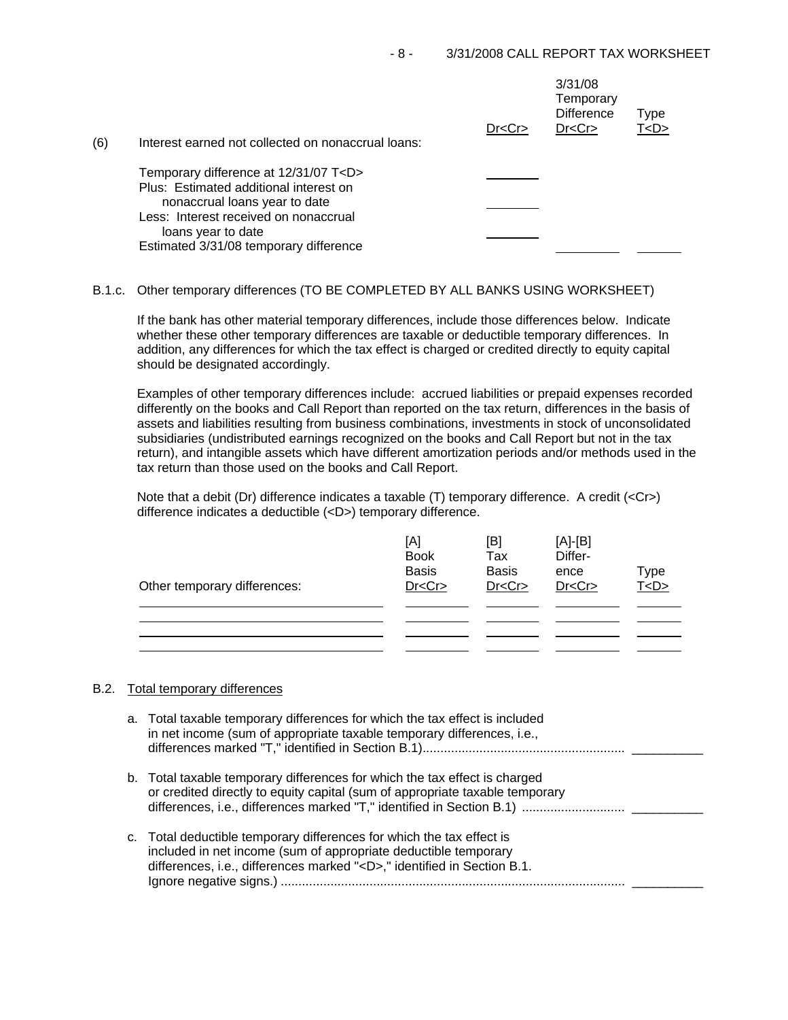| (6) | Interest earned not collected on nonaccrual loans:                                    | Dr < Cr | 3/31/08<br>Temporary<br><b>Difference</b><br>Dr < Cr | <b>Type</b><br>T <d></d> |
|-----|---------------------------------------------------------------------------------------|---------|------------------------------------------------------|--------------------------|
|     | Temporary difference at 12/31/07 T <d><br/>Plus: Estimated additional interest on</d> |         |                                                      |                          |
|     | nonaccrual loans year to date                                                         |         |                                                      |                          |
|     | Less: Interest received on nonaccrual                                                 |         |                                                      |                          |
|     | loans year to date<br>Estimated 3/31/08 temporary difference                          |         |                                                      |                          |

# B.1.c. Other temporary differences (TO BE COMPLETED BY ALL BANKS USING WORKSHEET)

If the bank has other material temporary differences, include those differences below. Indicate whether these other temporary differences are taxable or deductible temporary differences. In addition, any differences for which the tax effect is charged or credited directly to equity capital should be designated accordingly.

Examples of other temporary differences include: accrued liabilities or prepaid expenses recorded differently on the books and Call Report than reported on the tax return, differences in the basis of assets and liabilities resulting from business combinations, investments in stock of unconsolidated subsidiaries (undistributed earnings recognized on the books and Call Report but not in the tax return), and intangible assets which have different amortization periods and/or methods used in the tax return than those used on the books and Call Report.

Note that a debit (Dr) difference indicates a taxable (T) temporary difference. A credit (<Cr>) difference indicates a deductible (<D>) temporary difference.

| Other temporary differences: | [A]<br><b>Book</b><br><b>Basis</b><br>Dr < Cr | [B]<br>Tax<br><b>Basis</b><br>Dr < Cr | $[A]-[B]$<br>Differ-<br>ence<br>Dr < Cr | Type<br>T <d></d> |
|------------------------------|-----------------------------------------------|---------------------------------------|-----------------------------------------|-------------------|
|                              |                                               |                                       |                                         |                   |

# B.2. Total temporary differences

| a. Total taxable temporary differences for which the tax effect is included<br>in net income (sum of appropriate taxable temporary differences, i.e.,                                                                    |
|--------------------------------------------------------------------------------------------------------------------------------------------------------------------------------------------------------------------------|
| b. Total taxable temporary differences for which the tax effect is charged<br>or credited directly to equity capital (sum of appropriate taxable temporary                                                               |
| c. Total deductible temporary differences for which the tax effect is<br>included in net income (sum of appropriate deductible temporary<br>differences, i.e., differences marked " <d>," identified in Section B.1.</d> |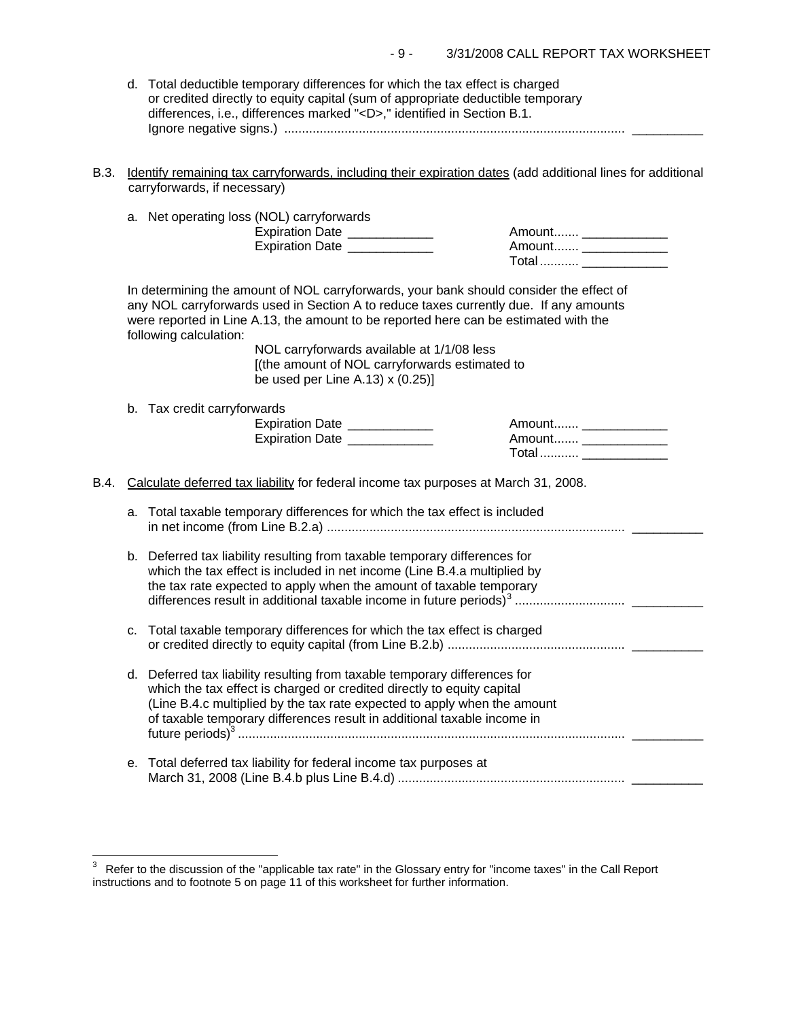| d. Total deductible temporary differences for which the tax effect is charged   |
|---------------------------------------------------------------------------------|
| or credited directly to equity capital (sum of appropriate deductible temporary |
| differences, i.e., differences marked " <d>," identified in Section B.1.</d>    |
|                                                                                 |

B.3. Identify remaining tax carryforwards, including their expiration dates (add additional lines for additional carryforwards, if necessary)

|      |                                                                                     | a. Net operating loss (NOL) carryforwards<br>Expiration Date ____________<br>Expiration Date _____________                                                                                                                                                                                                                                                                                                                               | Amount ______________                                                    |  |  |
|------|-------------------------------------------------------------------------------------|------------------------------------------------------------------------------------------------------------------------------------------------------------------------------------------------------------------------------------------------------------------------------------------------------------------------------------------------------------------------------------------------------------------------------------------|--------------------------------------------------------------------------|--|--|
|      |                                                                                     |                                                                                                                                                                                                                                                                                                                                                                                                                                          | Total  _______________                                                   |  |  |
|      |                                                                                     | In determining the amount of NOL carryforwards, your bank should consider the effect of<br>any NOL carryforwards used in Section A to reduce taxes currently due. If any amounts<br>were reported in Line A.13, the amount to be reported here can be estimated with the<br>following calculation:<br>NOL carryforwards available at 1/1/08 less<br>[(the amount of NOL carryforwards estimated to<br>be used per Line A.13) $x(0.25)$ ] |                                                                          |  |  |
|      |                                                                                     | b. Tax credit carryforwards<br>Expiration Date ____________<br>Expiration Date _____________                                                                                                                                                                                                                                                                                                                                             | Amount _____________<br>Amount _______________<br>Total  _______________ |  |  |
| B.4. | Calculate deferred tax liability for federal income tax purposes at March 31, 2008. |                                                                                                                                                                                                                                                                                                                                                                                                                                          |                                                                          |  |  |
|      | a.                                                                                  | Total taxable temporary differences for which the tax effect is included                                                                                                                                                                                                                                                                                                                                                                 |                                                                          |  |  |
|      |                                                                                     | b. Deferred tax liability resulting from taxable temporary differences for<br>which the tax effect is included in net income (Line B.4.a multiplied by<br>the tax rate expected to apply when the amount of taxable temporary                                                                                                                                                                                                            |                                                                          |  |  |
|      | c.                                                                                  | Total taxable temporary differences for which the tax effect is charged                                                                                                                                                                                                                                                                                                                                                                  |                                                                          |  |  |
|      |                                                                                     | d. Deferred tax liability resulting from taxable temporary differences for<br>which the tax effect is charged or credited directly to equity capital<br>(Line B.4.c multiplied by the tax rate expected to apply when the amount<br>of taxable temporary differences result in additional taxable income in                                                                                                                              |                                                                          |  |  |
|      | е.                                                                                  | Total deferred tax liability for federal income tax purposes at                                                                                                                                                                                                                                                                                                                                                                          |                                                                          |  |  |

 $\overline{a}$ 

<span id="page-8-0"></span> $3$  Refer to the discussion of the "applicable tax rate" in the Glossary entry for "income taxes" in the Call Report instructions and to footnote 5 on page 11 of this worksheet for further information.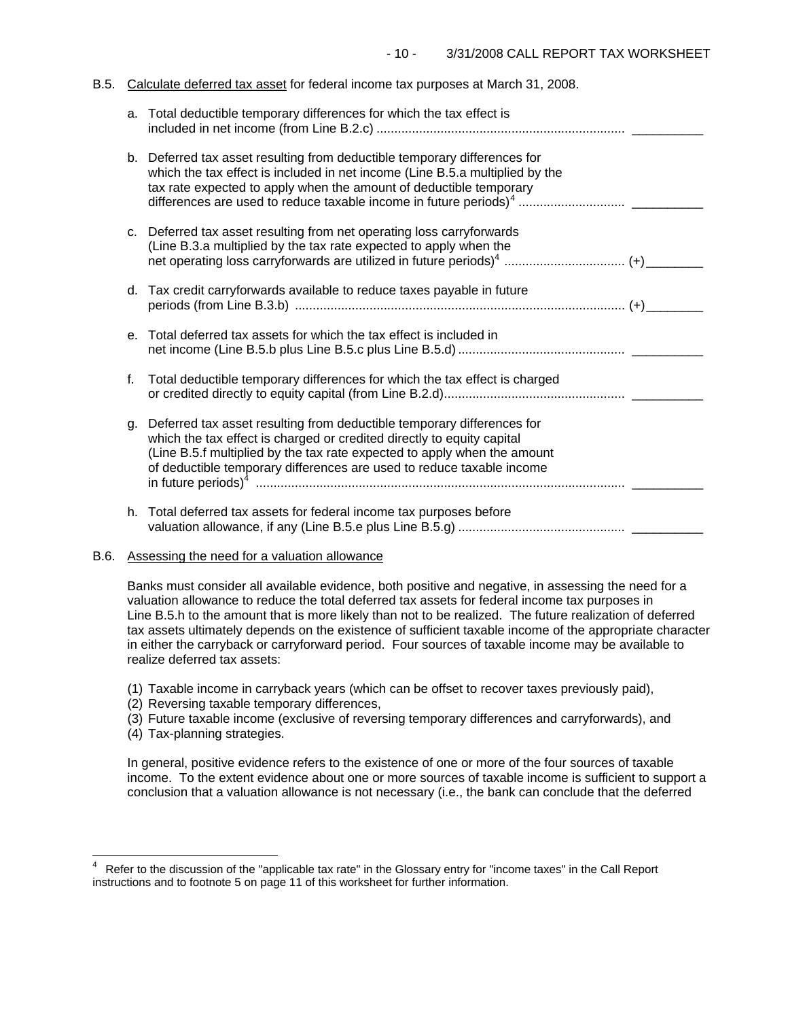# B.5. Calculate deferred tax asset for federal income tax purposes at March 31, 2008.

|         | a. Total deductible temporary differences for which the tax effect is                                                                                                                                                                                                                                 |  |
|---------|-------------------------------------------------------------------------------------------------------------------------------------------------------------------------------------------------------------------------------------------------------------------------------------------------------|--|
|         | b. Deferred tax asset resulting from deductible temporary differences for<br>which the tax effect is included in net income (Line B.5.a multiplied by the<br>tax rate expected to apply when the amount of deductible temporary                                                                       |  |
|         | c. Deferred tax asset resulting from net operating loss carryforwards<br>(Line B.3.a multiplied by the tax rate expected to apply when the                                                                                                                                                            |  |
|         | d. Tax credit carryforwards available to reduce taxes payable in future                                                                                                                                                                                                                               |  |
| $e_{1}$ | Total deferred tax assets for which the tax effect is included in                                                                                                                                                                                                                                     |  |
| f.      | Total deductible temporary differences for which the tax effect is charged                                                                                                                                                                                                                            |  |
| g.      | Deferred tax asset resulting from deductible temporary differences for<br>which the tax effect is charged or credited directly to equity capital<br>(Line B.5.f multiplied by the tax rate expected to apply when the amount<br>of deductible temporary differences are used to reduce taxable income |  |
|         | h. Total deferred tax assets for federal income tax purposes before                                                                                                                                                                                                                                   |  |

### B.6. Assessing the need for a valuation allowance

Banks must consider all available evidence, both positive and negative, in assessing the need for a valuation allowance to reduce the total deferred tax assets for federal income tax purposes in Line B.5.h to the amount that is more likely than not to be realized. The future realization of deferred tax assets ultimately depends on the existence of sufficient taxable income of the appropriate character in either the carryback or carryforward period. Four sources of taxable income may be available to realize deferred tax assets:

- (1) Taxable income in carryback years (which can be offset to recover taxes previously paid),
- (2) Reversing taxable temporary differences,
- (3) Future taxable income (exclusive of reversing temporary differences and carryforwards), and
- (4) Tax-planning strategies.

 $\frac{1}{2}$ 

In general, positive evidence refers to the existence of one or more of the four sources of taxable income. To the extent evidence about one or more sources of taxable income is sufficient to support a conclusion that a valuation allowance is not necessary (i.e., the bank can conclude that the deferred

<span id="page-9-0"></span><sup>4</sup> Refer to the discussion of the "applicable tax rate" in the Glossary entry for "income taxes" in the Call Report instructions and to footnote 5 on page 11 of this worksheet for further information.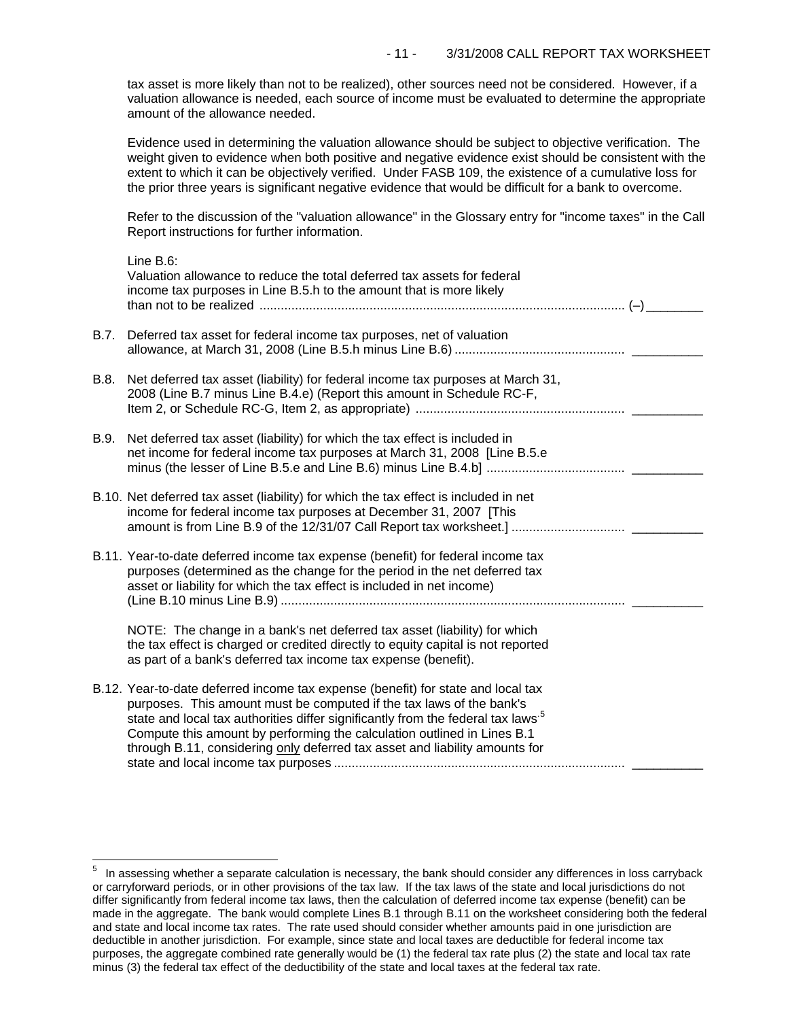tax asset is more likely than not to be realized), other sources need not be considered. However, if a valuation allowance is needed, each source of income must be evaluated to determine the appropriate amount of the allowance needed.

Evidence used in determining the valuation allowance should be subject to objective verification. The weight given to evidence when both positive and negative evidence exist should be consistent with the extent to which it can be objectively verified. Under FASB 109, the existence of a cumulative loss for the prior three years is significant negative evidence that would be difficult for a bank to overcome.

Refer to the discussion of the "valuation allowance" in the Glossary entry for "income taxes" in the Call Report instructions for further information.

|      | Line B.6:<br>Valuation allowance to reduce the total deferred tax assets for federal<br>income tax purposes in Line B.5.h to the amount that is more likely                                                                                                                                                                                                                                                       |  |
|------|-------------------------------------------------------------------------------------------------------------------------------------------------------------------------------------------------------------------------------------------------------------------------------------------------------------------------------------------------------------------------------------------------------------------|--|
| B.7. | Deferred tax asset for federal income tax purposes, net of valuation                                                                                                                                                                                                                                                                                                                                              |  |
| B.8. | Net deferred tax asset (liability) for federal income tax purposes at March 31,<br>2008 (Line B.7 minus Line B.4.e) (Report this amount in Schedule RC-F,                                                                                                                                                                                                                                                         |  |
| B.9. | Net deferred tax asset (liability) for which the tax effect is included in<br>net income for federal income tax purposes at March 31, 2008 [Line B.5.e                                                                                                                                                                                                                                                            |  |
|      | B.10. Net deferred tax asset (liability) for which the tax effect is included in net<br>income for federal income tax purposes at December 31, 2007 [This                                                                                                                                                                                                                                                         |  |
|      | B.11. Year-to-date deferred income tax expense (benefit) for federal income tax<br>purposes (determined as the change for the period in the net deferred tax<br>asset or liability for which the tax effect is included in net income)                                                                                                                                                                            |  |
|      | NOTE: The change in a bank's net deferred tax asset (liability) for which<br>the tax effect is charged or credited directly to equity capital is not reported<br>as part of a bank's deferred tax income tax expense (benefit).                                                                                                                                                                                   |  |
|      | B.12. Year-to-date deferred income tax expense (benefit) for state and local tax<br>purposes. This amount must be computed if the tax laws of the bank's<br>state and local tax authorities differ significantly from the federal tax laws <sup>5</sup><br>Compute this amount by performing the calculation outlined in Lines B.1<br>through B.11, considering only deferred tax asset and liability amounts for |  |

i<br>L

<span id="page-10-0"></span> $5$  In assessing whether a separate calculation is necessary, the bank should consider any differences in loss carryback or carryforward periods, or in other provisions of the tax law. If the tax laws of the state and local jurisdictions do not differ significantly from federal income tax laws, then the calculation of deferred income tax expense (benefit) can be made in the aggregate. The bank would complete Lines B.1 through B.11 on the worksheet considering both the federal and state and local income tax rates. The rate used should consider whether amounts paid in one jurisdiction are deductible in another jurisdiction. For example, since state and local taxes are deductible for federal income tax purposes, the aggregate combined rate generally would be (1) the federal tax rate plus (2) the state and local tax rate minus (3) the federal tax effect of the deductibility of the state and local taxes at the federal tax rate.